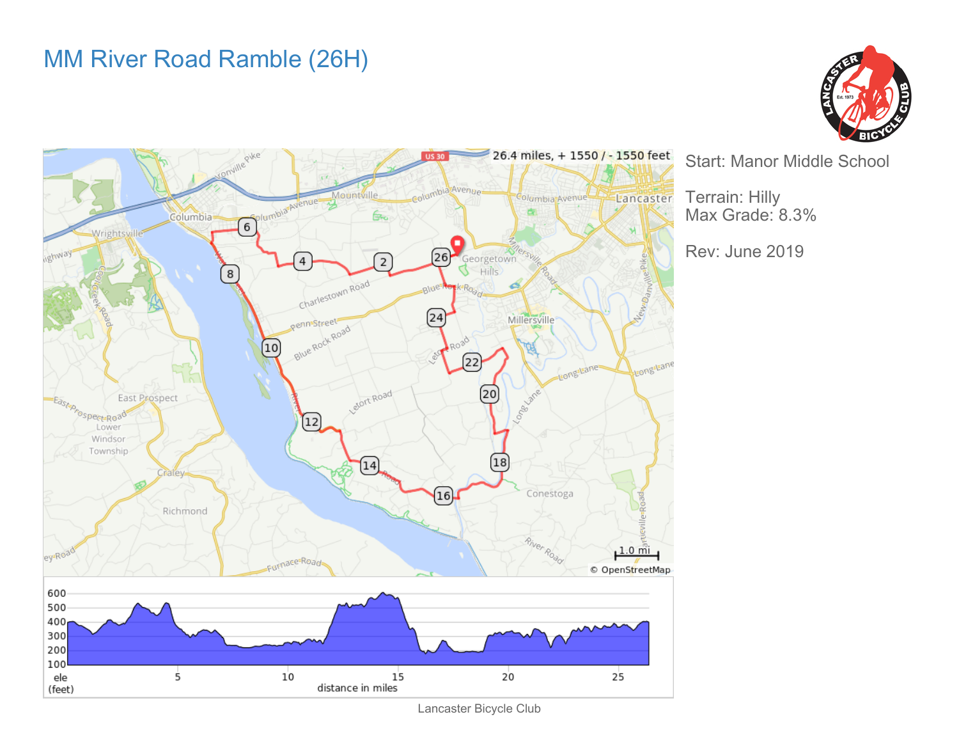## MM River Road Ramble (26H)





Lancaster Bicycle Club